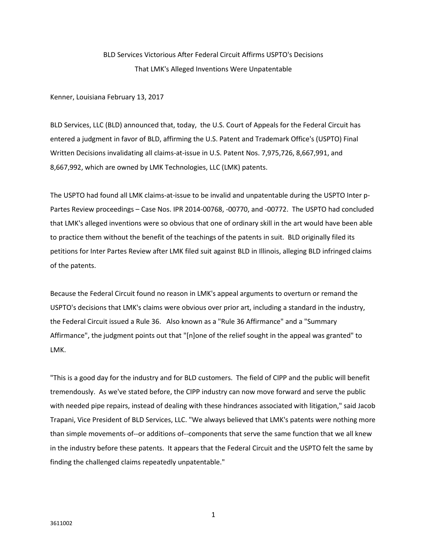## BLD Services Victorious After Federal Circuit Affirms USPTO's Decisions That LMK's Alleged Inventions Were Unpatentable

Kenner, Louisiana February 13, 2017

BLD Services, LLC (BLD) announced that, today, the U.S. Court of Appeals for the Federal Circuit has entered a judgment in favor of BLD, affirming the U.S. Patent and Trademark Office's (USPTO) Final Written Decisions invalidating all claims-at-issue in U.S. Patent Nos. 7,975,726, 8,667,991, and 8,667,992, which are owned by LMK Technologies, LLC (LMK) patents.

The USPTO had found all LMK claims-at-issue to be invalid and unpatentable during the USPTO Inter p-Partes Review proceedings – Case Nos. IPR 2014-00768, -00770, and -00772. The USPTO had concluded that LMK's alleged inventions were so obvious that one of ordinary skill in the art would have been able to practice them without the benefit of the teachings of the patents in suit. BLD originally filed its petitions for Inter Partes Review after LMK filed suit against BLD in Illinois, alleging BLD infringed claims of the patents.

Because the Federal Circuit found no reason in LMK's appeal arguments to overturn or remand the USPTO's decisions that LMK's claims were obvious over prior art, including a standard in the industry, the Federal Circuit issued a Rule 36. Also known as a "Rule 36 Affirmance" and a "Summary Affirmance", the judgment points out that "[n]one of the relief sought in the appeal was granted" to LMK.

"This is a good day for the industry and for BLD customers. The field of CIPP and the public will benefit tremendously. As we've stated before, the CIPP industry can now move forward and serve the public with needed pipe repairs, instead of dealing with these hindrances associated with litigation," said Jacob Trapani, Vice President of BLD Services, LLC. "We always believed that LMK's patents were nothing more than simple movements of--or additions of--components that serve the same function that we all knew in the industry before these patents. It appears that the Federal Circuit and the USPTO felt the same by finding the challenged claims repeatedly unpatentable."

1